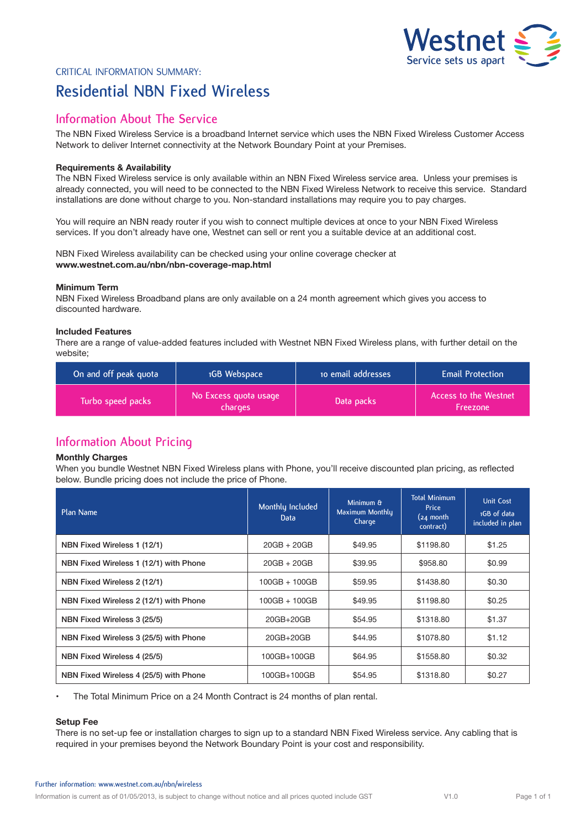# Vestnet  $\leq$  2 **Service sets us apart**

# Critical Information Summary: **Residential NBN Fixed Wireless**

# **Information About The Service**

The NBN Fixed Wireless Service is a broadband Internet service which uses the NBN Fixed Wireless Customer Access Network to deliver Internet connectivity at the Network Boundary Point at your Premises.

### **Requirements & Availability**

The NBN Fixed Wireless service is only available within an NBN Fixed Wireless service area. Unless your premises is already connected, you will need to be connected to the NBN Fixed Wireless Network to receive this service. Standard installations are done without charge to you. Non-standard installations may require you to pay charges.

You will require an NBN ready router if you wish to connect multiple devices at once to your NBN Fixed Wireless services. If you don't already have one, Westnet can sell or rent you a suitable device at an additional cost.

NBN Fixed Wireless availability can be checked using your online coverage checker at **www.westnet.com.au/nbn/nbn-coverage-map.html** 

### **Minimum Term**

NBN Fixed Wireless Broadband plans are only available on a 24 month agreement which gives you access to discounted hardware.

### **Included Features**

There are a range of value-added features included with Westnet NBN Fixed Wireless plans, with further detail on the website;

| On and off peak quota | 1GB Webspace                     | to email addresses | <b>Email Protection</b>                  |
|-----------------------|----------------------------------|--------------------|------------------------------------------|
| Turbo speed packs     | No Excess quota usage<br>charges | Data packs         | Access to the Westnet<br><b>Freezone</b> |

# **Information About Pricing**

### **Monthly Charges**

When you bundle Westnet NBN Fixed Wireless plans with Phone, you'll receive discounted plan pricing, as reflected below. Bundle pricing does not include the price of Phone.

| Plan Name                              | Monthly Included<br>Data | Minimum &<br>Maximum Monthly<br>Charge | <b>Total Minimum</b><br><b>Price</b><br>$(24 \text{ month})$<br>contract) | <b>Unit Cost</b><br>1GB of data<br>included in plan |
|----------------------------------------|--------------------------|----------------------------------------|---------------------------------------------------------------------------|-----------------------------------------------------|
| NBN Fixed Wireless 1 (12/1)            | $20GB + 20GB$            | \$49.95                                | \$1198.80                                                                 | \$1.25                                              |
| NBN Fixed Wireless 1 (12/1) with Phone | $20GB + 20GB$            | \$39.95                                | \$958.80                                                                  | \$0.99                                              |
| NBN Fixed Wireless 2 (12/1)            | $100GB + 100GB$          | \$59.95                                | \$1438.80                                                                 | \$0.30                                              |
| NBN Fixed Wireless 2 (12/1) with Phone | $100GB + 100GB$          | \$49.95                                | \$1198.80                                                                 | \$0.25                                              |
| NBN Fixed Wireless 3 (25/5)            | 20GB+20GB                | \$54.95                                | \$1318.80                                                                 | \$1.37                                              |
| NBN Fixed Wireless 3 (25/5) with Phone | 20GB+20GB                | \$44.95                                | \$1078.80                                                                 | \$1.12                                              |
| NBN Fixed Wireless 4 (25/5)            | 100GB+100GB              | \$64.95                                | \$1558.80                                                                 | \$0.32                                              |
| NBN Fixed Wireless 4 (25/5) with Phone | 100GB+100GB              | \$54.95                                | \$1318.80                                                                 | \$0.27                                              |

• The Total Minimum Price on a 24 Month Contract is 24 months of plan rental.

#### **Setup Fee**

There is no set-up fee or installation charges to sign up to a standard NBN Fixed Wireless service. Any cabling that is required in your premises beyond the Network Boundary Point is your cost and responsibility.